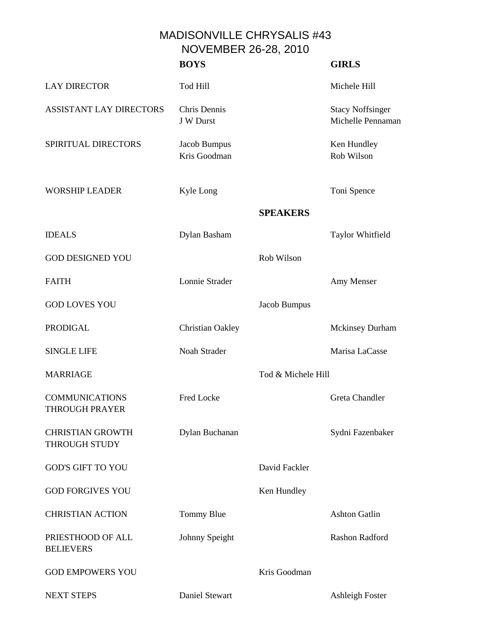MADISONVILLE CHRYSALIS #43 NOVEMBER 26-28, 2010

|                                                | <b>BOYS</b>                  |                    | <b>GIRLS</b>                                 |
|------------------------------------------------|------------------------------|--------------------|----------------------------------------------|
| <b>LAY DIRECTOR</b>                            | Tod Hill                     |                    | Michele Hill                                 |
| <b>ASSISTANT LAY DIRECTORS</b>                 | Chris Dennis<br>J W Durst    |                    | <b>Stacy Noffsinger</b><br>Michelle Pennaman |
| SPIRITUAL DIRECTORS                            | Jacob Bumpus<br>Kris Goodman |                    | Ken Hundley<br>Rob Wilson                    |
| <b>WORSHIP LEADER</b>                          | Kyle Long                    |                    | Toni Spence                                  |
|                                                |                              | <b>SPEAKERS</b>    |                                              |
| <b>IDEALS</b>                                  | Dylan Basham                 |                    | Taylor Whitfield                             |
| <b>GOD DESIGNED YOU</b>                        |                              | Rob Wilson         |                                              |
| <b>FAITH</b>                                   | Lonnie Strader               |                    | Amy Menser                                   |
| <b>GOD LOVES YOU</b>                           |                              | Jacob Bumpus       |                                              |
| <b>PRODIGAL</b>                                | Christian Oakley             |                    | <b>Mckinsey Durham</b>                       |
| <b>SINGLE LIFE</b>                             | Noah Strader                 |                    | Marisa LaCasse                               |
| <b>MARRIAGE</b>                                |                              | Tod & Michele Hill |                                              |
| <b>COMMUNICATIONS</b><br><b>THROUGH PRAYER</b> | Fred Locke                   |                    | <b>Greta Chandler</b>                        |
| <b>CHRISTIAN GROWTH</b><br>THROUGH STUDY       | Dylan Buchanan               |                    | Sydni Fazenbaker                             |
| <b>GOD'S GIFT TO YOU</b>                       |                              | David Fackler      |                                              |
| <b>GOD FORGIVES YOU</b>                        |                              | Ken Hundley        |                                              |
| <b>CHRISTIAN ACTION</b>                        | Tommy Blue                   |                    | <b>Ashton Gatlin</b>                         |
| PRIESTHOOD OF ALL<br><b>BELIEVERS</b>          | Johnny Speight               |                    | Rashon Radford                               |
| <b>GOD EMPOWERS YOU</b>                        |                              | Kris Goodman       |                                              |
| <b>NEXT STEPS</b>                              | Daniel Stewart               |                    | <b>Ashleigh Foster</b>                       |